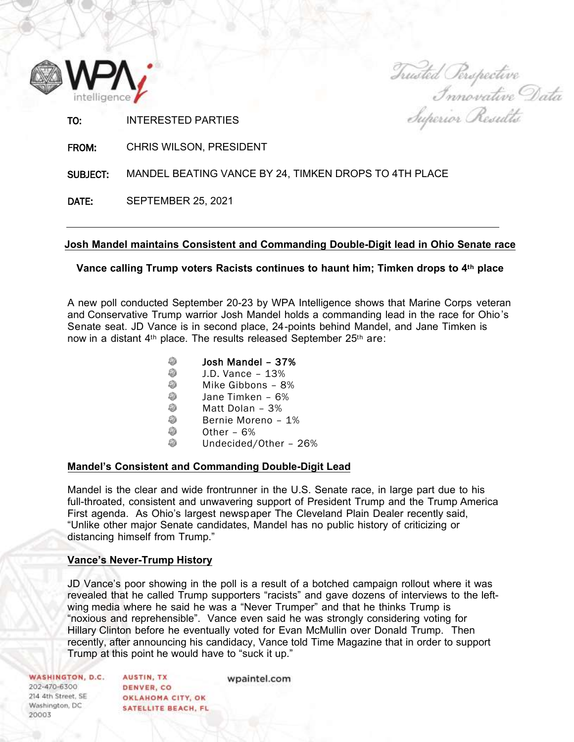

Trusted Perspective<br>Innovative Data

| TO:             | <b>INTERESTED PARTIES</b>                             | Superior Results |
|-----------------|-------------------------------------------------------|------------------|
| FROM:           | <b>CHRIS WILSON, PRESIDENT</b>                        |                  |
| <b>SUBJECT:</b> | MANDEL BEATING VANCE BY 24, TIMKEN DROPS TO 4TH PLACE |                  |
| DATE:           | <b>SEPTEMBER 25, 2021</b>                             |                  |
|                 |                                                       |                  |

## **Josh Mandel maintains Consistent and Commanding Double-Digit lead in Ohio Senate race**

# **Vance calling Trump voters Racists continues to haunt him; Timken drops to 4th place**

A new poll conducted September 20-23 by WPA Intelligence shows that Marine Corps veteran and Conservative Trump warrior Josh Mandel holds a commanding lead in the race for Ohio's Senate seat. JD Vance is in second place, 24-points behind Mandel, and Jane Timken is now in a distant 4th place. The results released September 25th are:

- ô Josh Mandel – 37%
- 8 J.D. Vance – 13%
- 8 Mike Gibbons – 8%
- Ô. Jane Timken – 6%
- 0 Matt Dolan – 3%
- 8 Bernie Moreno – 1%
- Ô. Other – 6%
- 8 Undecided/Other – 26%

## **Mandel's Consistent and Commanding Double-Digit Lead**

Mandel is the clear and wide frontrunner in the U.S. Senate race, in large part due to his full-throated, consistent and unwavering support of President Trump and the Trump America First agenda. As Ohio's largest newspaper The Cleveland Plain Dealer recently said, "Unlike other major Senate candidates, Mandel has no public history of criticizing or distancing himself from Trump."

## **Vance's Never-Trump History**

JD Vance's poor showing in the poll is a result of a botched campaign rollout where it was revealed that he called Trump supporters "racists" and gave dozens of interviews to the leftwing media where he said he was a "Never Trumper" and that he thinks Trump is "noxious and reprehensible". Vance even said he was strongly considering voting for Hillary Clinton before he eventually voted for Evan McMullin over Donald Trump. Then recently, after announcing his candidacy, Vance told Time Magazine that in order to support Trump at this point he would have to "suck it up."

| WASHINGTON, D.C.   | <b>AUSTIN, TX</b>   | wpaintel.com |
|--------------------|---------------------|--------------|
| 202-470-6300       | DENVER, CO.         |              |
| 214 4th Street, SE | OKLAHOMA CITY, OK   |              |
| Washington, DC     | SATELLITE BEACH, FL |              |
| 20003              |                     |              |